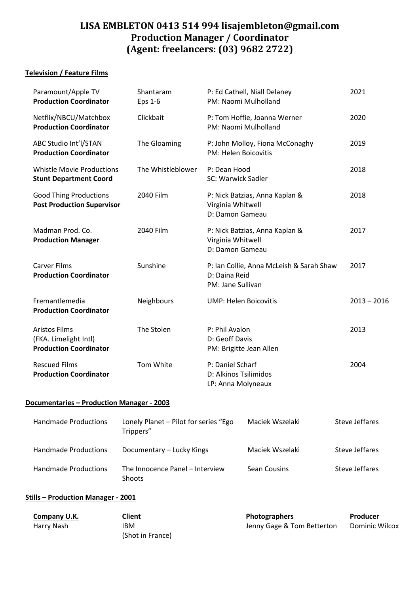# **LISA EMBLETON 0413 514 994 [lisajembleton@gmail.com](mailto:lisajembleton@gmail.com) Production Manager / Coordinator (Agent: freelancers: (03) 9682 2722)**

## **Television / Feature Films**

| Paramount/Apple TV<br><b>Production Coordinator</b>                            | Shantaram<br>Eps 1-6 | P: Ed Cathell, Niall Delaney<br>PM: Naomi Mulholland                           | 2021          |
|--------------------------------------------------------------------------------|----------------------|--------------------------------------------------------------------------------|---------------|
| Netflix/NBCU/Matchbox<br><b>Production Coordinator</b>                         | Clickbait            | P: Tom Hoffie, Joanna Werner<br>PM: Naomi Mulholland                           | 2020          |
| ABC Studio Int'l/STAN<br><b>Production Coordinator</b>                         | The Gloaming         | P: John Molloy, Fiona McConaghy<br>PM: Helen Boicovitis                        | 2019          |
| <b>Whistle Movie Productions</b><br><b>Stunt Department Coord</b>              | The Whistleblower    | P: Dean Hood<br>SC: Warwick Sadler                                             | 2018          |
| <b>Good Thing Productions</b><br><b>Post Production Supervisor</b>             | 2040 Film            | P: Nick Batzias, Anna Kaplan &<br>Virginia Whitwell<br>D: Damon Gameau         | 2018          |
| Madman Prod. Co.<br><b>Production Manager</b>                                  | 2040 Film            | P: Nick Batzias, Anna Kaplan &<br>Virginia Whitwell<br>D: Damon Gameau         | 2017          |
| <b>Carver Films</b><br><b>Production Coordinator</b>                           | Sunshine             | P: Ian Collie, Anna McLeish & Sarah Shaw<br>D: Daina Reid<br>PM: Jane Sullivan | 2017          |
| Fremantlemedia<br><b>Production Coordinator</b>                                | Neighbours           | <b>UMP: Helen Boicovitis</b>                                                   | $2013 - 2016$ |
| <b>Aristos Films</b><br>(FKA. Limelight Intl)<br><b>Production Coordinator</b> | The Stolen           | P: Phil Avalon<br>D: Geoff Davis<br>PM: Brigitte Jean Allen                    | 2013          |
| <b>Rescued Films</b><br><b>Production Coordinator</b>                          | Tom White            | P: Daniel Scharf<br>D: Alkinos Tsilimidos<br>LP: Anna Molyneaux                | 2004          |
|                                                                                |                      |                                                                                |               |

## **Documentaries – Production Manager - 2003**

| <b>Handmade Productions</b> | Lonely Planet – Pilot for series "Ego<br>Trippers" | Maciek Wszelaki | Steve Jeffares |
|-----------------------------|----------------------------------------------------|-----------------|----------------|
| Handmade Productions        | Documentary - Lucky Kings                          | Maciek Wszelaki | Steve Jeffares |
| Handmade Productions        | The Innocence Panel – Interview<br><b>Shoots</b>   | Sean Cousins    | Steve Jeffares |

### **Stills – Production Manager - 2001**

| Company U.K. | Client           | <b>Photographers</b>       | Producer       |
|--------------|------------------|----------------------------|----------------|
| Harry Nash   | IBM              | Jenny Gage & Tom Betterton | Dominic Wilcox |
|              | (Shot in France) |                            |                |